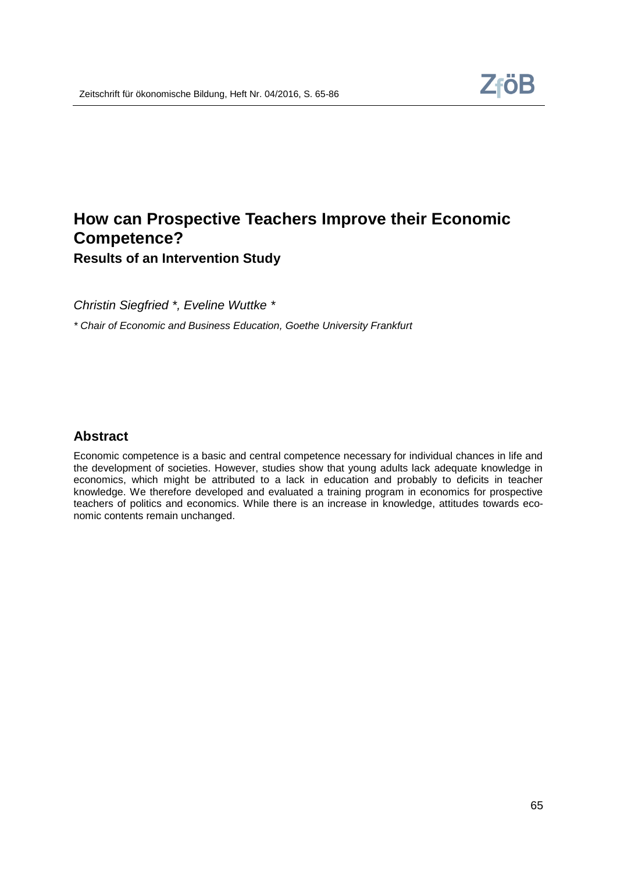# **How can Prospective Teachers Improve their Economic Competence? Results of an Intervention Study**

*Christin Siegfried \*, Eveline Wuttke \**

*\* Chair of Economic and Business Education, Goethe University Frankfurt*

### **Abstract**

Economic competence is a basic and central competence necessary for individual chances in life and the development of societies. However, studies show that young adults lack adequate knowledge in economics, which might be attributed to a lack in education and probably to deficits in teacher knowledge. We therefore developed and evaluated a training program in economics for prospective teachers of politics and economics. While there is an increase in knowledge, attitudes towards economic contents remain unchanged.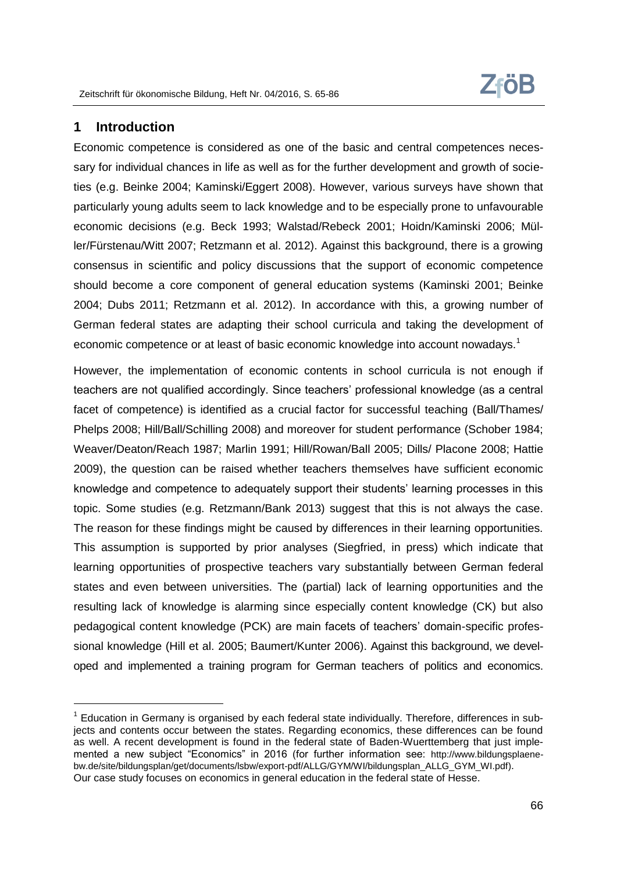# **1 Introduction**

Economic competence is considered as one of the basic and central competences necessary for individual chances in life as well as for the further development and growth of societies (e.g. Beinke 2004; Kaminski/Eggert 2008). However, various surveys have shown that particularly young adults seem to lack knowledge and to be especially prone to unfavourable economic decisions (e.g. Beck 1993; Walstad/Rebeck 2001; Hoidn/Kaminski 2006; Müller/Fürstenau/Witt 2007; Retzmann et al. 2012). Against this background, there is a growing consensus in scientific and policy discussions that the support of economic competence should become a core component of general education systems (Kaminski 2001; Beinke 2004; Dubs 2011; Retzmann et al. 2012). In accordance with this, a growing number of German federal states are adapting their school curricula and taking the development of economic competence or at least of basic economic knowledge into account nowadays.<sup>1</sup>

However, the implementation of economic contents in school curricula is not enough if teachers are not qualified accordingly. Since teachers' professional knowledge (as a central facet of competence) is identified as a crucial factor for successful teaching (Ball/Thames/ Phelps 2008; Hill/Ball/Schilling 2008) and moreover for student performance (Schober 1984; Weaver/Deaton/Reach 1987; Marlin 1991; Hill/Rowan/Ball 2005; Dills/ Placone 2008; Hattie 2009), the question can be raised whether teachers themselves have sufficient economic knowledge and competence to adequately support their students' learning processes in this topic. Some studies (e.g. Retzmann/Bank 2013) suggest that this is not always the case. The reason for these findings might be caused by differences in their learning opportunities. This assumption is supported by prior analyses (Siegfried, in press) which indicate that learning opportunities of prospective teachers vary substantially between German federal states and even between universities. The (partial) lack of learning opportunities and the resulting lack of knowledge is alarming since especially content knowledge (CK) but also pedagogical content knowledge (PCK) are main facets of teachers' domain-specific professional knowledge (Hill et al. 2005; Baumert/Kunter 2006). Against this background, we developed and implemented a training program for German teachers of politics and economics.

 $1$  Education in Germany is organised by each federal state individually. Therefore, differences in subjects and contents occur between the states. Regarding economics, these differences can be found as well. A recent development is found in the federal state of Baden-Wuerttemberg that just implemented a new subject "Economics" in 2016 (for further information see: [http://www.bildungsplaene](http://www.bildungsplaene-bw.de/site/bildungsplan/get/documents/lsbw/export-pdf/ALLG/GYM/WI/bildungsplan_ALLG_GYM_WI.pdf)[bw.de/site/bildungsplan/get/documents/lsbw/export-pdf/ALLG/GYM/WI/bildungsplan\\_ALLG\\_GYM\\_WI.pdf\)](http://www.bildungsplaene-bw.de/site/bildungsplan/get/documents/lsbw/export-pdf/ALLG/GYM/WI/bildungsplan_ALLG_GYM_WI.pdf). Our case study focuses on economics in general education in the federal state of Hesse.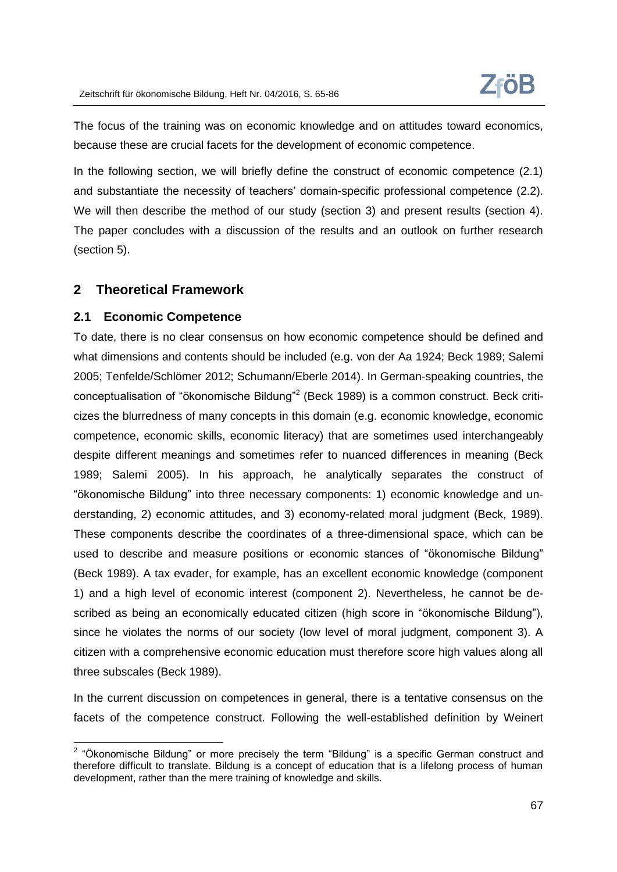The focus of the training was on economic knowledge and on attitudes toward economics, because these are crucial facets for the development of economic competence.

In the following section, we will briefly define the construct of economic competence (2.1) and substantiate the necessity of teachers' domain-specific professional competence (2.2). We will then describe the method of our study (section 3) and present results (section 4). The paper concludes with a discussion of the results and an outlook on further research (section 5).

### **2 Theoretical Framework**

#### **2.1 Economic Competence**

To date, there is no clear consensus on how economic competence should be defined and what dimensions and contents should be included (e.g. von der Aa 1924; Beck 1989; Salemi 2005; Tenfelde/Schlömer 2012; Schumann/Eberle 2014). In German-speaking countries, the conceptualisation of "ökonomische Bildung"<sup>2</sup> (Beck 1989) is a common construct. Beck criticizes the blurredness of many concepts in this domain (e.g. economic knowledge, economic competence, economic skills, economic literacy) that are sometimes used interchangeably despite different meanings and sometimes refer to nuanced differences in meaning (Beck 1989; Salemi 2005). In his approach, he analytically separates the construct of "ökonomische Bildung" into three necessary components: 1) economic knowledge and understanding, 2) economic attitudes, and 3) economy-related moral judgment (Beck, 1989). These components describe the coordinates of a three-dimensional space, which can be used to describe and measure positions or economic stances of "ökonomische Bildung" (Beck 1989). A tax evader, for example, has an excellent economic knowledge (component 1) and a high level of economic interest (component 2). Nevertheless, he cannot be described as being an economically educated citizen (high score in "ökonomische Bildung"), since he violates the norms of our society (low level of moral judgment, component 3). A citizen with a comprehensive economic education must therefore score high values along all three subscales (Beck 1989).

In the current discussion on competences in general, there is a tentative consensus on the facets of the competence construct. Following the well-established definition by Weinert

enties and the mannit control of the term and the series of the term and the "Ökonomische Bildung" or more precisely the term "Bildung" is a specific German construct and therefore difficult to translate. Bildung is a concept of education that is a lifelong process of human development, rather than the mere training of knowledge and skills.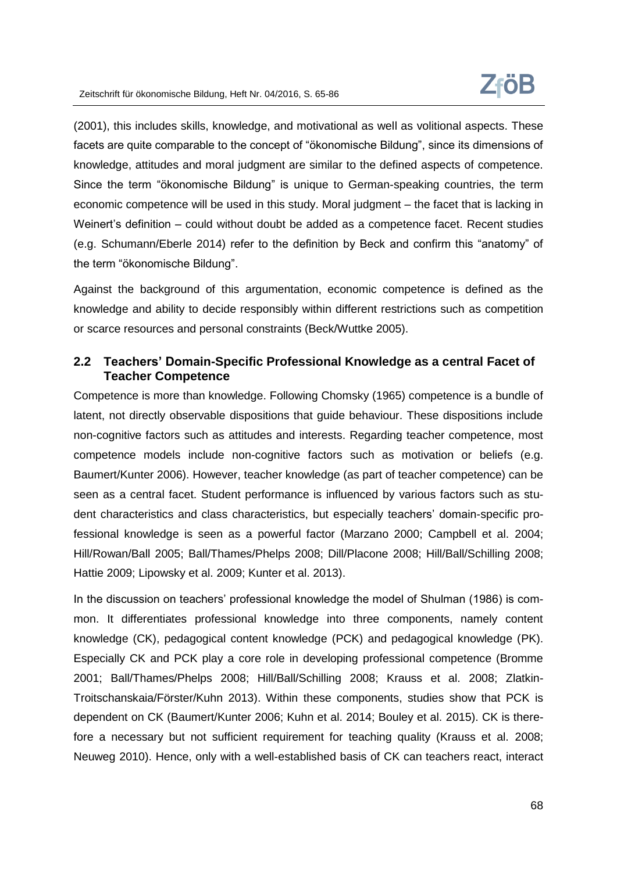(2001), this includes skills, knowledge, and motivational as well as volitional aspects. These facets are quite comparable to the concept of "ökonomische Bildung", since its dimensions of knowledge, attitudes and moral judgment are similar to the defined aspects of competence. Since the term "ökonomische Bildung" is unique to German-speaking countries, the term economic competence will be used in this study. Moral judgment – the facet that is lacking in Weinert's definition – could without doubt be added as a competence facet. Recent studies (e.g. Schumann/Eberle 2014) refer to the definition by Beck and confirm this "anatomy" of the term "ökonomische Bildung".

Against the background of this argumentation, economic competence is defined as the knowledge and ability to decide responsibly within different restrictions such as competition or scarce resources and personal constraints (Beck/Wuttke 2005).

# **2.2 Teachers' Domain-Specific Professional Knowledge as a central Facet of Teacher Competence**

Competence is more than knowledge. Following Chomsky (1965) competence is a bundle of latent, not directly observable dispositions that guide behaviour. These dispositions include non-cognitive factors such as attitudes and interests. Regarding teacher competence, most competence models include non-cognitive factors such as motivation or beliefs (e.g. Baumert/Kunter 2006). However, teacher knowledge (as part of teacher competence) can be seen as a central facet. Student performance is influenced by various factors such as student characteristics and class characteristics, but especially teachers' domain-specific professional knowledge is seen as a powerful factor (Marzano 2000; Campbell et al. 2004; Hill/Rowan/Ball 2005; Ball/Thames/Phelps 2008; Dill/Placone 2008; Hill/Ball/Schilling 2008; Hattie 2009; Lipowsky et al. 2009; Kunter et al. 2013).

In the discussion on teachers' professional knowledge the model of Shulman (1986) is common. It differentiates professional knowledge into three components, namely content knowledge (CK), pedagogical content knowledge (PCK) and pedagogical knowledge (PK). Especially CK and PCK play a core role in developing professional competence (Bromme 2001; Ball/Thames/Phelps 2008; Hill/Ball/Schilling 2008; Krauss et al. 2008; Zlatkin-Troitschanskaia/Förster/Kuhn 2013). Within these components, studies show that PCK is dependent on CK (Baumert/Kunter 2006; Kuhn et al. 2014; Bouley et al. 2015). CK is therefore a necessary but not sufficient requirement for teaching quality (Krauss et al. 2008; Neuweg 2010). Hence, only with a well-established basis of CK can teachers react, interact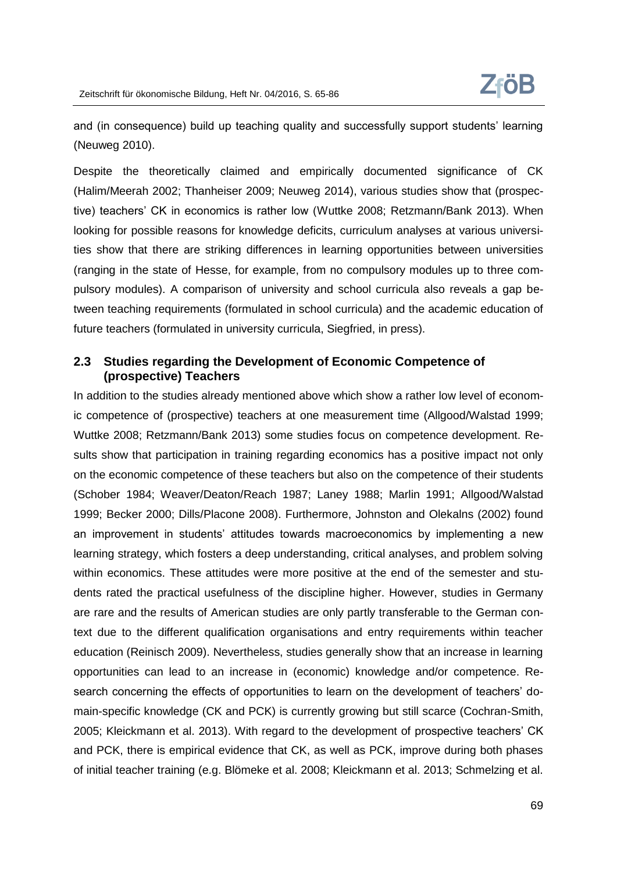and (in consequence) build up teaching quality and successfully support students' learning (Neuweg 2010).

Despite the theoretically claimed and empirically documented significance of CK (Halim/Meerah 2002; Thanheiser 2009; Neuweg 2014), various studies show that (prospective) teachers' CK in economics is rather low (Wuttke 2008; Retzmann/Bank 2013). When looking for possible reasons for knowledge deficits, curriculum analyses at various universities show that there are striking differences in learning opportunities between universities (ranging in the state of Hesse, for example, from no compulsory modules up to three compulsory modules). A comparison of university and school curricula also reveals a gap between teaching requirements (formulated in school curricula) and the academic education of future teachers (formulated in university curricula, Siegfried, in press).

### **2.3 Studies regarding the Development of Economic Competence of (prospective) Teachers**

In addition to the studies already mentioned above which show a rather low level of economic competence of (prospective) teachers at one measurement time (Allgood/Walstad 1999; Wuttke 2008; Retzmann/Bank 2013) some studies focus on competence development. Results show that participation in training regarding economics has a positive impact not only on the economic competence of these teachers but also on the competence of their students (Schober 1984; Weaver/Deaton/Reach 1987; Laney 1988; Marlin 1991; Allgood/Walstad 1999; Becker 2000; Dills/Placone 2008). Furthermore, Johnston and Olekalns (2002) found an improvement in students' attitudes towards macroeconomics by implementing a new learning strategy, which fosters a deep understanding, critical analyses, and problem solving within economics. These attitudes were more positive at the end of the semester and students rated the practical usefulness of the discipline higher. However, studies in Germany are rare and the results of American studies are only partly transferable to the German context due to the different qualification organisations and entry requirements within teacher education (Reinisch 2009). Nevertheless, studies generally show that an increase in learning opportunities can lead to an increase in (economic) knowledge and/or competence. Research concerning the effects of opportunities to learn on the development of teachers' domain-specific knowledge (CK and PCK) is currently growing but still scarce (Cochran-Smith, 2005; Kleickmann et al. 2013). With regard to the development of prospective teachers' CK and PCK, there is empirical evidence that CK, as well as PCK, improve during both phases of initial teacher training (e.g. Blömeke et al. 2008; Kleickmann et al. 2013; Schmelzing et al.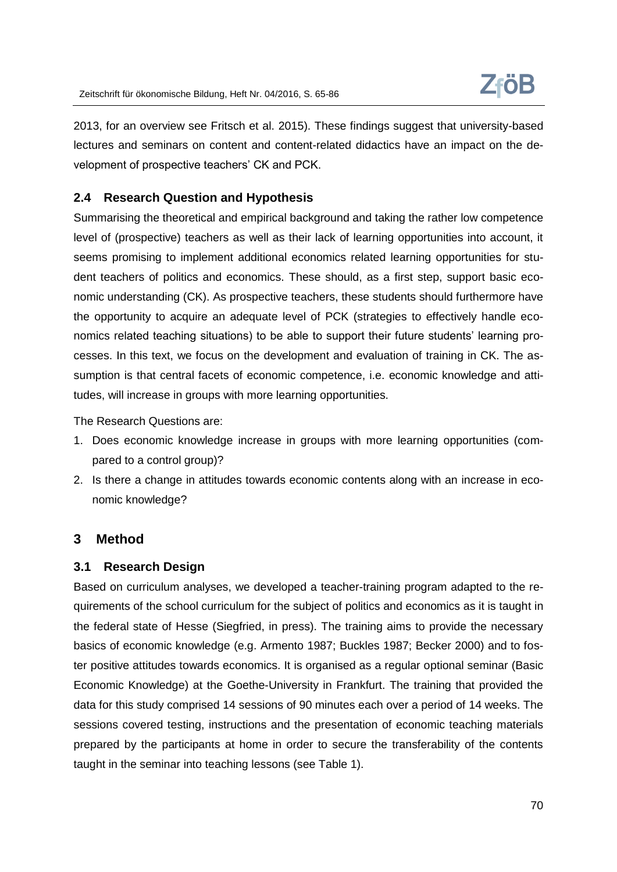2013, for an overview see Fritsch et al. 2015). These findings suggest that university-based lectures and seminars on content and content-related didactics have an impact on the development of prospective teachers' CK and PCK.

# **2.4 Research Question and Hypothesis**

Summarising the theoretical and empirical background and taking the rather low competence level of (prospective) teachers as well as their lack of learning opportunities into account, it seems promising to implement additional economics related learning opportunities for student teachers of politics and economics. These should, as a first step, support basic economic understanding (CK). As prospective teachers, these students should furthermore have the opportunity to acquire an adequate level of PCK (strategies to effectively handle economics related teaching situations) to be able to support their future students' learning processes. In this text, we focus on the development and evaluation of training in CK. The assumption is that central facets of economic competence, i.e. economic knowledge and attitudes, will increase in groups with more learning opportunities.

The Research Questions are:

- 1. Does economic knowledge increase in groups with more learning opportunities (compared to a control group)?
- 2. Is there a change in attitudes towards economic contents along with an increase in economic knowledge?

### **3 Method**

### **3.1 Research Design**

Based on curriculum analyses, we developed a teacher-training program adapted to the requirements of the school curriculum for the subject of politics and economics as it is taught in the federal state of Hesse (Siegfried, in press). The training aims to provide the necessary basics of economic knowledge (e.g. Armento 1987; Buckles 1987; Becker 2000) and to foster positive attitudes towards economics. It is organised as a regular optional seminar (Basic Economic Knowledge) at the Goethe-University in Frankfurt. The training that provided the data for this study comprised 14 sessions of 90 minutes each over a period of 14 weeks. The sessions covered testing, instructions and the presentation of economic teaching materials prepared by the participants at home in order to secure the transferability of the contents taught in the seminar into teaching lessons (see Table 1).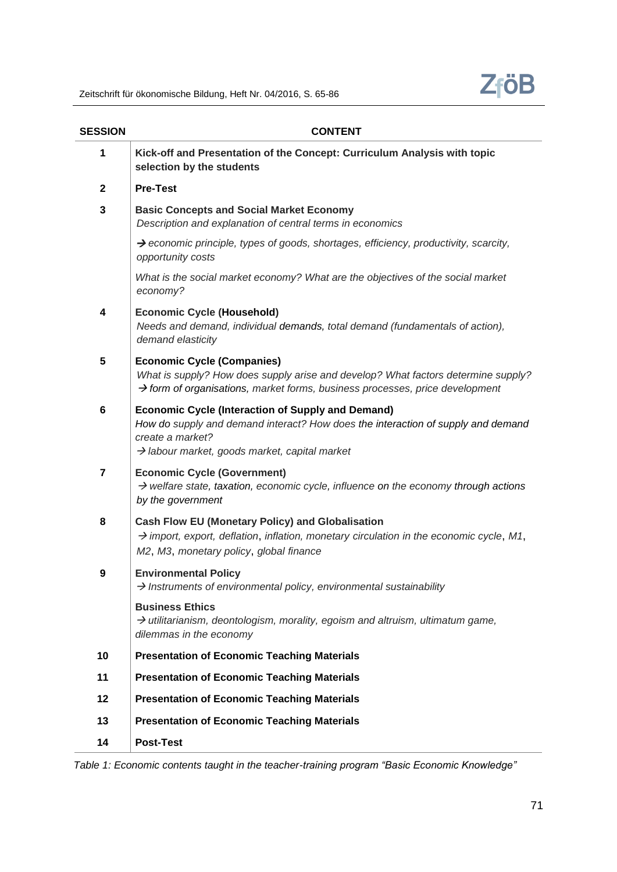

| <b>SESSION</b> | <b>CONTENT</b>                                                                                                                                                                                                                |
|----------------|-------------------------------------------------------------------------------------------------------------------------------------------------------------------------------------------------------------------------------|
| 1              | Kick-off and Presentation of the Concept: Curriculum Analysis with topic<br>selection by the students                                                                                                                         |
| $\mathbf{2}$   | <b>Pre-Test</b>                                                                                                                                                                                                               |
| 3              | <b>Basic Concepts and Social Market Economy</b><br>Description and explanation of central terms in economics                                                                                                                  |
|                | $\rightarrow$ economic principle, types of goods, shortages, efficiency, productivity, scarcity,<br>opportunity costs                                                                                                         |
|                | What is the social market economy? What are the objectives of the social market<br>economy?                                                                                                                                   |
| 4              | <b>Economic Cycle (Household)</b><br>Needs and demand, individual demands, total demand (fundamentals of action),<br>demand elasticity                                                                                        |
| 5              | <b>Economic Cycle (Companies)</b><br>What is supply? How does supply arise and develop? What factors determine supply?<br>$\rightarrow$ form of organisations, market forms, business processes, price development            |
| 6              | <b>Economic Cycle (Interaction of Supply and Demand)</b><br>How do supply and demand interact? How does the interaction of supply and demand<br>create a market?<br>$\rightarrow$ labour market, goods market, capital market |
| $\overline{7}$ | <b>Economic Cycle (Government)</b><br>$\rightarrow$ welfare state, taxation, economic cycle, influence on the economy through actions<br>by the government                                                                    |
| 8              | <b>Cash Flow EU (Monetary Policy) and Globalisation</b><br>$\rightarrow$ import, export, deflation, inflation, monetary circulation in the economic cycle, M1,<br>M2, M3, monetary policy, global finance                     |
| 9              | <b>Environmental Policy</b><br>$\rightarrow$ Instruments of environmental policy, environmental sustainability                                                                                                                |
|                | <b>Business Ethics</b><br>$\rightarrow$ utilitarianism, deontologism, morality, egoism and altruism, ultimatum game,<br>dilemmas in the economy                                                                               |
| 10             | <b>Presentation of Economic Teaching Materials</b>                                                                                                                                                                            |
| 11             | <b>Presentation of Economic Teaching Materials</b>                                                                                                                                                                            |
| 12             | <b>Presentation of Economic Teaching Materials</b>                                                                                                                                                                            |
| 13             | <b>Presentation of Economic Teaching Materials</b>                                                                                                                                                                            |
| 14             | Post-Test                                                                                                                                                                                                                     |

*Table 1: Economic contents taught in the teacher-training program "Basic Economic Knowledge"*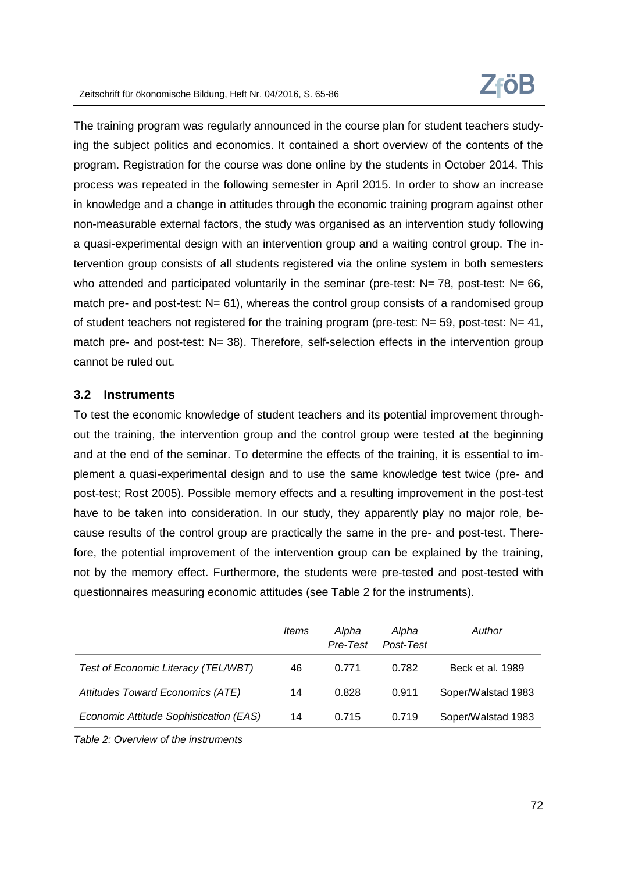

The training program was regularly announced in the course plan for student teachers studying the subject politics and economics. It contained a short overview of the contents of the program. Registration for the course was done online by the students in October 2014. This process was repeated in the following semester in April 2015. In order to show an increase in knowledge and a change in attitudes through the economic training program against other non-measurable external factors, the study was organised as an intervention study following a quasi-experimental design with an intervention group and a waiting control group. The intervention group consists of all students registered via the online system in both semesters who attended and participated voluntarily in the seminar (pre-test:  $N= 78$ , post-test:  $N= 66$ , match pre- and post-test:  $N = 61$ , whereas the control group consists of a randomised group of student teachers not registered for the training program (pre-test:  $N = 59$ , post-test:  $N = 41$ , match pre- and post-test: N= 38). Therefore, self-selection effects in the intervention group cannot be ruled out.

#### **3.2 Instruments**

To test the economic knowledge of student teachers and its potential improvement throughout the training, the intervention group and the control group were tested at the beginning and at the end of the seminar. To determine the effects of the training, it is essential to implement a quasi-experimental design and to use the same knowledge test twice (pre- and post-test; Rost 2005). Possible memory effects and a resulting improvement in the post-test have to be taken into consideration. In our study, they apparently play no major role, because results of the control group are practically the same in the pre- and post-test. Therefore, the potential improvement of the intervention group can be explained by the training, not by the memory effect. Furthermore, the students were pre-tested and post-tested with questionnaires measuring economic attitudes (see Table 2 for the instruments).

|                                        | ltems | Alpha<br>Pre-Test | Alpha<br>Post-Test | Author             |
|----------------------------------------|-------|-------------------|--------------------|--------------------|
| Test of Economic Literacy (TEL/WBT)    | 46    | 0.771             | 0.782              | Beck et al. 1989   |
| Attitudes Toward Economics (ATE)       | 14    | 0.828             | 0.911              | Soper/Walstad 1983 |
| Economic Attitude Sophistication (EAS) | 14    | 0.715             | 0.719              | Soper/Walstad 1983 |

*Table 2: Overview of the instruments*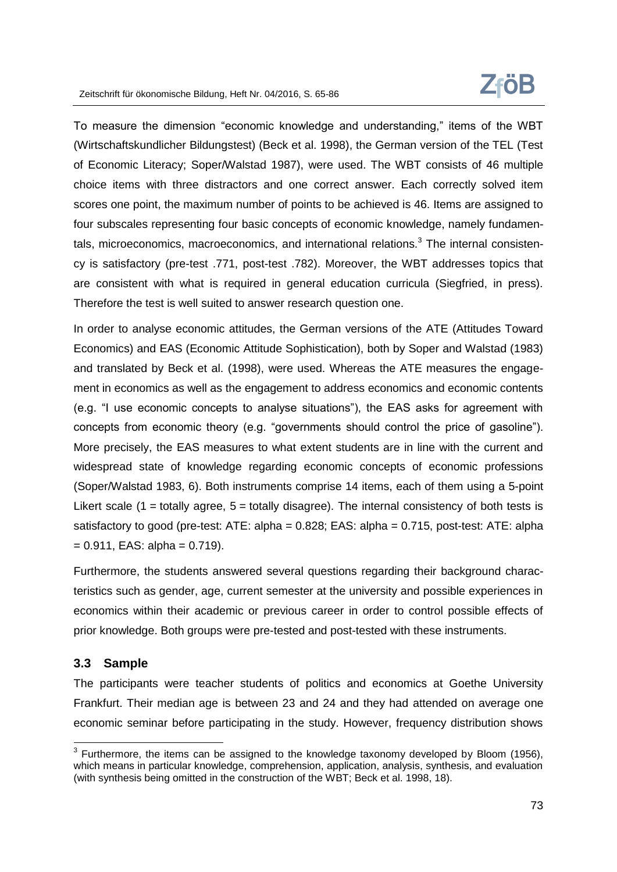

To measure the dimension "economic knowledge and understanding," items of the WBT (Wirtschaftskundlicher Bildungstest) (Beck et al. 1998), the German version of the TEL (Test of Economic Literacy; Soper/Walstad 1987), were used. The WBT consists of 46 multiple choice items with three distractors and one correct answer. Each correctly solved item scores one point, the maximum number of points to be achieved is 46. Items are assigned to four subscales representing four basic concepts of economic knowledge, namely fundamentals, microeconomics, macroeconomics, and international relations. $3$  The internal consistency is satisfactory (pre-test .771, post-test .782). Moreover, the WBT addresses topics that are consistent with what is required in general education curricula (Siegfried, in press). Therefore the test is well suited to answer research question one.

In order to analyse economic attitudes, the German versions of the ATE (Attitudes Toward Economics) and EAS (Economic Attitude Sophistication), both by Soper and Walstad (1983) and translated by Beck et al. (1998), were used. Whereas the ATE measures the engagement in economics as well as the engagement to address economics and economic contents (e.g. "I use economic concepts to analyse situations"), the EAS asks for agreement with concepts from economic theory (e.g. "governments should control the price of gasoline"). More precisely, the EAS measures to what extent students are in line with the current and widespread state of knowledge regarding economic concepts of economic professions (Soper/Walstad 1983, 6). Both instruments comprise 14 items, each of them using a 5-point Likert scale (1 = totally agree,  $5$  = totally disagree). The internal consistency of both tests is satisfactory to good (pre-test: ATE: alpha = 0.828; EAS: alpha = 0.715, post-test: ATE: alpha  $= 0.911$ , EAS: alpha  $= 0.719$ ).

Furthermore, the students answered several questions regarding their background characteristics such as gender, age, current semester at the university and possible experiences in economics within their academic or previous career in order to control possible effects of prior knowledge. Both groups were pre-tested and post-tested with these instruments.

### **3.3 Sample**

 $\overline{a}$ 

The participants were teacher students of politics and economics at Goethe University Frankfurt. Their median age is between 23 and 24 and they had attended on average one economic seminar before participating in the study. However, frequency distribution shows

 $3$  Furthermore, the items can be assigned to the knowledge taxonomy developed by Bloom (1956), which means in particular knowledge, comprehension, application, analysis, synthesis, and evaluation (with synthesis being omitted in the construction of the WBT; Beck et al. 1998, 18).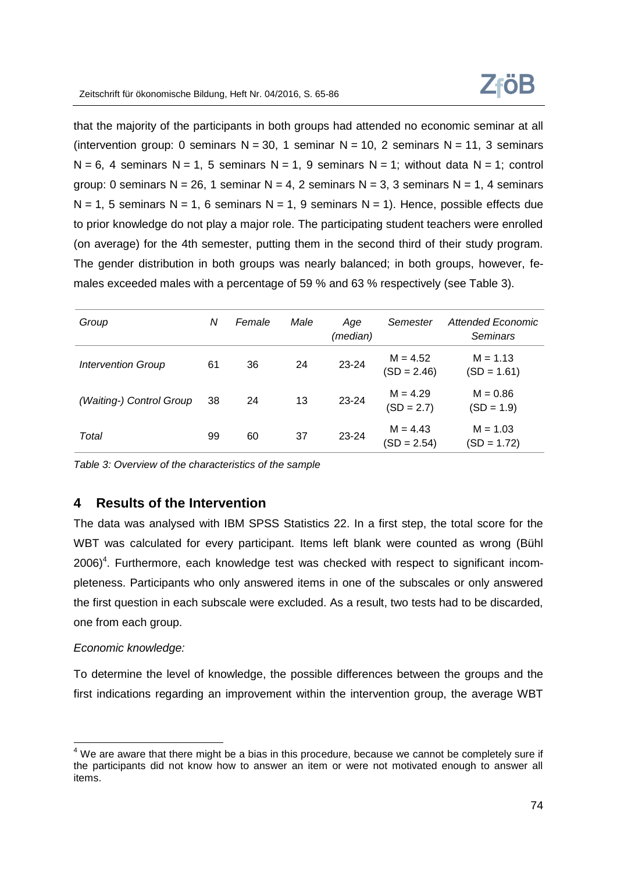that the majority of the participants in both groups had attended no economic seminar at all (intervention group: 0 seminars  $N = 30$ , 1 seminar  $N = 10$ , 2 seminars  $N = 11$ , 3 seminars  $N = 6$ , 4 seminars N = 1, 5 seminars N = 1, 9 seminars N = 1; without data N = 1; control group: 0 seminars N = 26, 1 seminar N = 4, 2 seminars N = 3, 3 seminars N = 1, 4 seminars  $N = 1$ , 5 seminars N = 1, 6 seminars N = 1, 9 seminars N = 1). Hence, possible effects due to prior knowledge do not play a major role. The participating student teachers were enrolled (on average) for the 4th semester, putting them in the second third of their study program. The gender distribution in both groups was nearly balanced; in both groups, however, females exceeded males with a percentage of 59 % and 63 % respectively (see Table 3).

| Group                     | Ν  | Female | Male | Age<br>(median) | Semester                    | <b>Attended Economic</b><br><b>Seminars</b> |
|---------------------------|----|--------|------|-----------------|-----------------------------|---------------------------------------------|
| <b>Intervention Group</b> | 61 | 36     | 24   | 23-24           | $M = 4.52$<br>$(SD = 2.46)$ | $M = 1.13$<br>$(SD = 1.61)$                 |
| (Waiting-) Control Group  | 38 | 24     | 13   | 23-24           | $M = 4.29$<br>$(SD = 2.7)$  | $M = 0.86$<br>$(SD = 1.9)$                  |
| Total                     | 99 | 60     | 37   | 23-24           | $M = 4.43$<br>$(SD = 2.54)$ | $M = 1.03$<br>(SD = 1.72)                   |

*Table 3: Overview of the characteristics of the sample*

# **4 Results of the Intervention**

The data was analysed with IBM SPSS Statistics 22. In a first step, the total score for the WBT was calculated for every participant. Items left blank were counted as wrong (Bühl  $2006$ <sup>4</sup>. Furthermore, each knowledge test was checked with respect to significant incompleteness. Participants who only answered items in one of the subscales or only answered the first question in each subscale were excluded. As a result, two tests had to be discarded, one from each group.

### *Economic knowledge:*

 $\overline{a}$ 

To determine the level of knowledge, the possible differences between the groups and the first indications regarding an improvement within the intervention group, the average WBT

 $4$  We are aware that there might be a bias in this procedure, because we cannot be completely sure if the participants did not know how to answer an item or were not motivated enough to answer all items.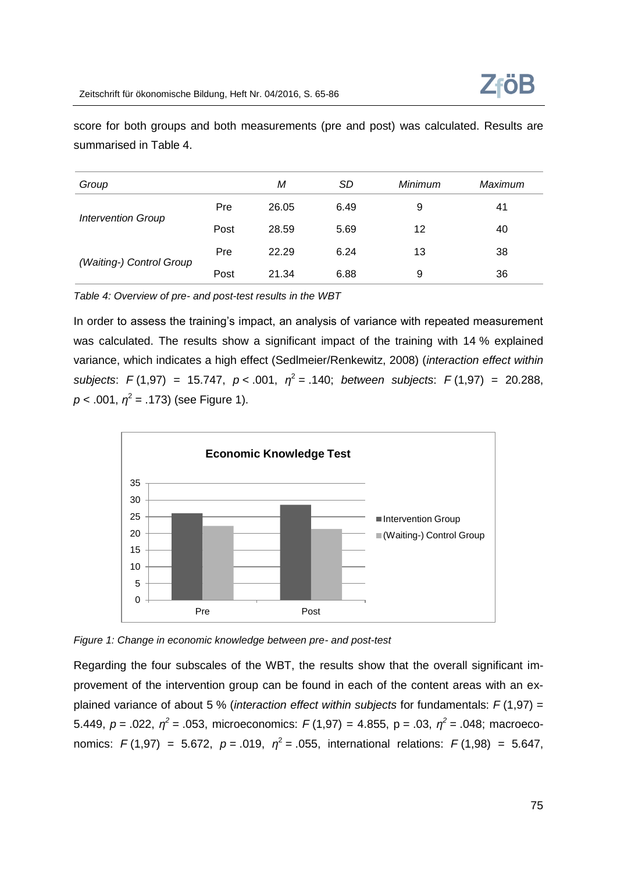

score for both groups and both measurements (pre and post) was calculated. Results are summarised in Table 4.

| Group                     |      | М     | SD   | Minimum | Maximum |
|---------------------------|------|-------|------|---------|---------|
|                           | Pre  | 26.05 | 6.49 | 9       | 41      |
| <b>Intervention Group</b> | Post | 28.59 | 5.69 | 12      | 40      |
|                           | Pre  | 22.29 | 6.24 | 13      | 38      |
| (Waiting-) Control Group  | Post | 21.34 | 6.88 | 9       | 36      |

*Table 4: Overview of pre- and post-test results in the WBT*

In order to assess the training's impact, an analysis of variance with repeated measurement was calculated. The results show a significant impact of the training with 14 % explained variance, which indicates a high effect (Sedlmeier/Renkewitz, 2008) (*interaction effect within subjects*:  $F(1,97) = 15.747$ ,  $p < .001$ ,  $\eta^2 = .140$ ; *between subjects*:  $F(1,97) = 20.288$ ,  $p$  < .001,  $\eta^2$  = .173) (see Figure 1).



*Figure 1: Change in economic knowledge between pre- and post-test*

Regarding the four subscales of the WBT, the results show that the overall significant improvement of the intervention group can be found in each of the content areas with an explained variance of about 5 % (*interaction effect within subjects* for fundamentals: *F* (1,97) = 5.449,  $p = 0.022$ ,  $\eta^2 = 0.053$ , microeconomics:  $F(1,97) = 4.855$ ,  $p = 0.03$ ,  $\eta^2 = 0.048$ ; macroeconomics:  $F(1,97) = 5.672$ ,  $p = .019$ ,  $\eta^2 = .055$ , international relations:  $F(1,98) = 5.647$ ,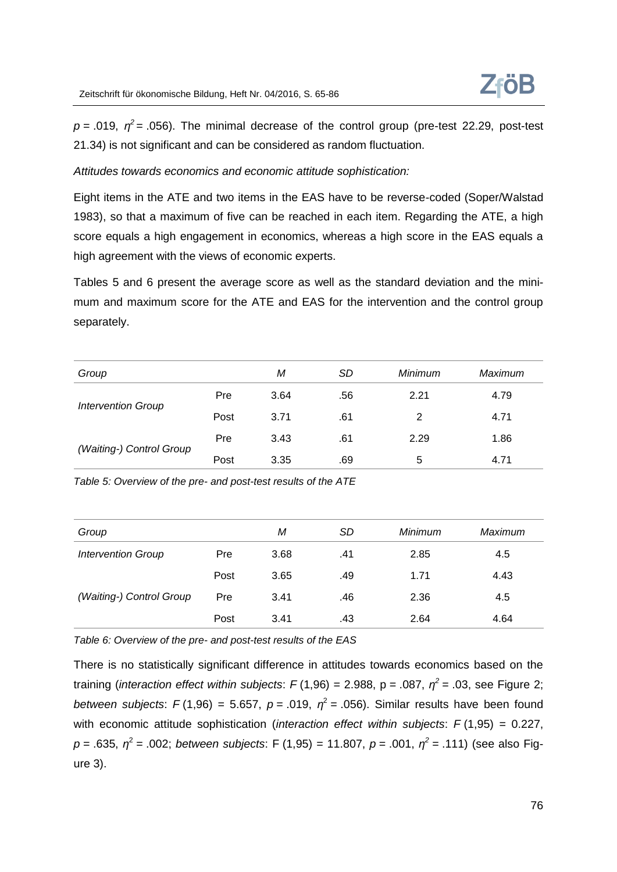

 $p = .019$ ,  $\eta^2 = .056$ ). The minimal decrease of the control group (pre-test 22.29, post-test 21.34) is not significant and can be considered as random fluctuation.

#### *Attitudes towards economics and economic attitude sophistication:*

Eight items in the ATE and two items in the EAS have to be reverse-coded (Soper/Walstad 1983), so that a maximum of five can be reached in each item. Regarding the ATE, a high score equals a high engagement in economics, whereas a high score in the EAS equals a high agreement with the views of economic experts.

Tables 5 and 6 present the average score as well as the standard deviation and the minimum and maximum score for the ATE and EAS for the intervention and the control group separately.

| Group                     |      | М    | SD  | Minimum | Maximum |
|---------------------------|------|------|-----|---------|---------|
|                           | Pre  | 3.64 | .56 | 2.21    | 4.79    |
| <b>Intervention Group</b> | Post | 3.71 | .61 | 2       | 4.71    |
|                           | Pre  | 3.43 | .61 | 2.29    | 1.86    |
| (Waiting-) Control Group  | Post | 3.35 | .69 | 5       | 4.71    |

*Table 5: Overview of the pre- and post-test results of the ATE*

| Group                     |      | М    | <b>SD</b> | Minimum | Maximum |
|---------------------------|------|------|-----------|---------|---------|
| <b>Intervention Group</b> | Pre  | 3.68 | .41       | 2.85    | 4.5     |
|                           | Post | 3.65 | .49       | 1.71    | 4.43    |
| (Waiting-) Control Group  | Pre  | 3.41 | .46       | 2.36    | 4.5     |
|                           | Post | 3.41 | .43       | 2.64    | 4.64    |

*Table 6: Overview of the pre- and post-test results of the EAS*

There is no statistically significant difference in attitudes towards economics based on the training (*interaction effect within subjects*:  $F(1,96) = 2.988$ ,  $p = .087$ ,  $\eta^2 = .03$ , see Figure 2; *between subjects*:  $F(1,96) = 5.657$ ,  $p = .019$ ,  $\eta^2 = .056$ ). Similar results have been found with economic attitude sophistication (*interaction effect within subjects*: *F* (1,95) = 0.227, *p* = .635, *η* 2 = .002; *between subjects*: F (1,95) = 11.807, *p* = .001, *η 2* = .111) (see also Figure 3).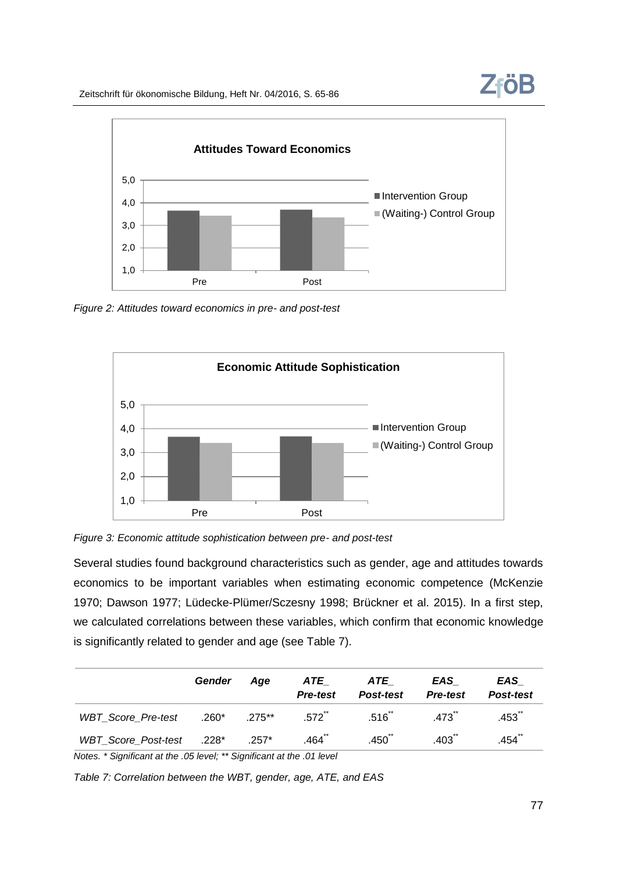

*Figure 2: Attitudes toward economics in pre- and post-test*





Several studies found background characteristics such as gender, age and attitudes towards economics to be important variables when estimating economic competence (McKenzie 1970; Dawson 1977; Lüdecke-Plümer/Sczesny 1998; Brückner et al. 2015). In a first step, we calculated correlations between these variables, which confirm that economic knowledge is significantly related to gender and age (see Table 7).

|                           | Gender  | Aae      | ATE<br><b>Pre-test</b> | ATE<br>Post-test  | EAS<br><b>Pre-test</b> | EAS<br>Post-test |
|---------------------------|---------|----------|------------------------|-------------------|------------------------|------------------|
| <b>WBT</b> Score Pre-test | $.260*$ | $275***$ | $.572^{11}$            | .516 <sup>2</sup> | .473                   | .453 ้           |
| WBT_Score_Post-test .228* |         | $.257*$  | $.464^{\circ}$         | .450              | .403 <sup>°</sup>      | $.454^{\circ}$   |

*Notes. \* Significant at the .05 level; \*\* Significant at the .01 level*

*Table 7: Correlation between the WBT, gender, age, ATE, and EAS*

**ZföB**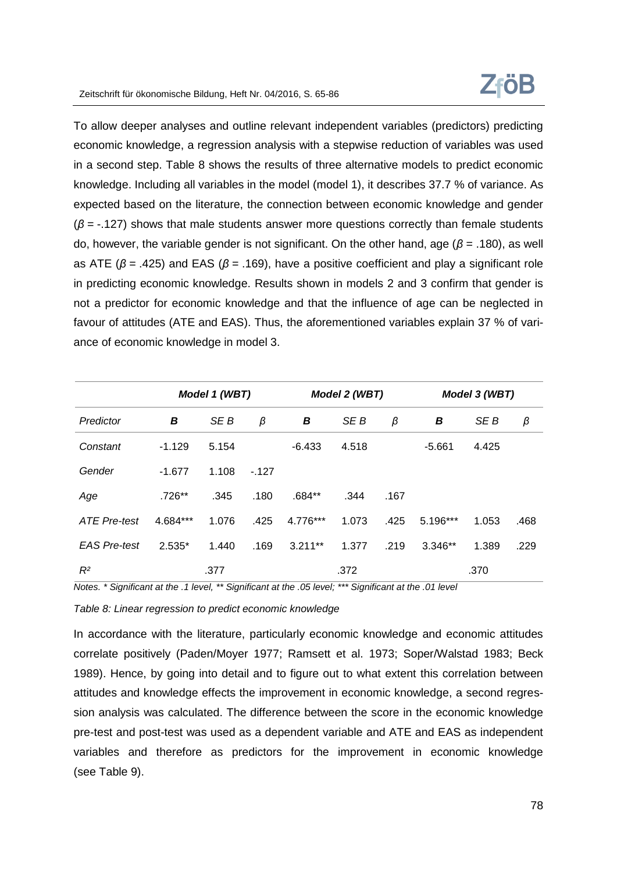

To allow deeper analyses and outline relevant independent variables (predictors) predicting economic knowledge, a regression analysis with a stepwise reduction of variables was used in a second step. Table 8 shows the results of three alternative models to predict economic knowledge. Including all variables in the model (model 1), it describes 37.7 % of variance. As expected based on the literature, the connection between economic knowledge and gender (*β* = -.127) shows that male students answer more questions correctly than female students do, however, the variable gender is not significant. On the other hand, age (*β* = .180), as well as ATE (*β* = .425) and EAS (*β* = .169), have a positive coefficient and play a significant role in predicting economic knowledge. Results shown in models 2 and 3 confirm that gender is not a predictor for economic knowledge and that the influence of age can be neglected in favour of attitudes (ATE and EAS). Thus, the aforementioned variables explain 37 % of variance of economic knowledge in model 3.

|                     |          | Model 1 (WBT) |        |           | Model 2 (WBT) |      |           | Model 3 (WBT) |      |
|---------------------|----------|---------------|--------|-----------|---------------|------|-----------|---------------|------|
| Predictor           | В        | SE B          | β      | B         | SE B          | β    | B         | SE B          | β    |
| Constant            | $-1.129$ | 5.154         |        | $-6.433$  | 4.518         |      | $-5.661$  | 4.425         |      |
| Gender              | $-1.677$ | 1.108         | $-127$ |           |               |      |           |               |      |
| Age                 | .726**   | .345          | .180   | $.684**$  | .344          | .167 |           |               |      |
| <b>ATE Pre-test</b> | 4.684*** | 1.076         | .425   | 4.776***  | 1.073         | .425 | 5.196***  | 1.053         | .468 |
| <b>EAS Pre-test</b> | $2.535*$ | 1.440         | .169   | $3.211**$ | 1.377         | .219 | $3.346**$ | 1.389         | .229 |
| $R^2$               |          | .377          |        |           | .372          |      |           | .370          |      |

*Notes. \* Significant at the .1 level, \*\* Significant at the .05 level; \*\*\* Significant at the .01 level*

*Table 8: Linear regression to predict economic knowledge*

In accordance with the literature, particularly economic knowledge and economic attitudes correlate positively (Paden/Moyer 1977; Ramsett et al. 1973; Soper/Walstad 1983; Beck 1989). Hence, by going into detail and to figure out to what extent this correlation between attitudes and knowledge effects the improvement in economic knowledge, a second regression analysis was calculated. The difference between the score in the economic knowledge pre-test and post-test was used as a dependent variable and ATE and EAS as independent variables and therefore as predictors for the improvement in economic knowledge (see Table 9).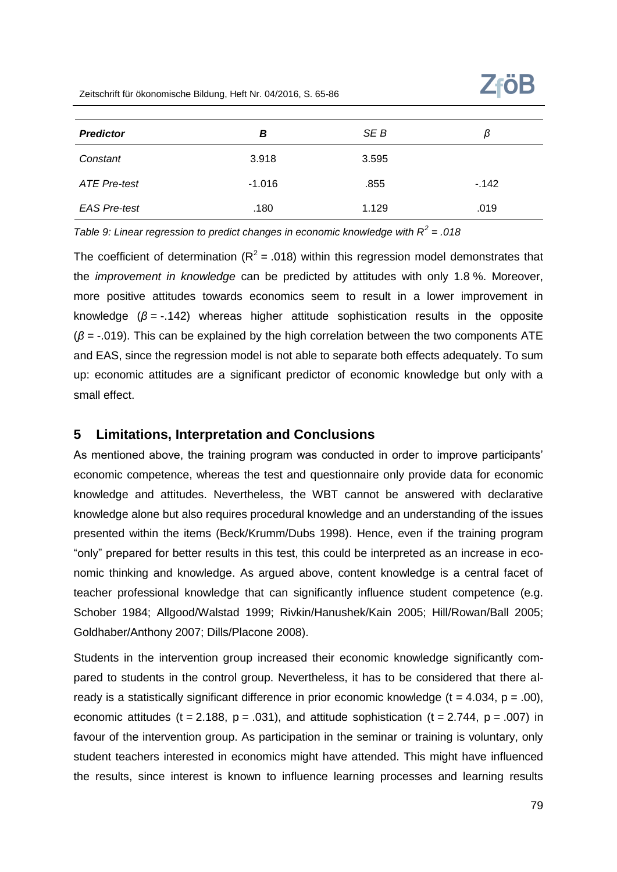| <b>Predictor</b>    | В        | SE B  | β      |
|---------------------|----------|-------|--------|
| Constant            | 3.918    | 3.595 |        |
| <b>ATE Pre-test</b> | $-1.016$ | .855  | $-142$ |
| <b>EAS Pre-test</b> | .180     | 1.129 | .019   |

*Table 9: Linear regression to predict changes in economic knowledge with R<sup>2</sup> = .018*

The coefficient of determination ( $R^2$  = .018) within this regression model demonstrates that the *improvement in knowledge* can be predicted by attitudes with only 1.8 %. Moreover, more positive attitudes towards economics seem to result in a lower improvement in knowledge (*β* = -.142) whereas higher attitude sophistication results in the opposite (*β* = -.019). This can be explained by the high correlation between the two components ATE and EAS, since the regression model is not able to separate both effects adequately. To sum up: economic attitudes are a significant predictor of economic knowledge but only with a small effect.

#### **5 Limitations, Interpretation and Conclusions**

As mentioned above, the training program was conducted in order to improve participants' economic competence, whereas the test and questionnaire only provide data for economic knowledge and attitudes. Nevertheless, the WBT cannot be answered with declarative knowledge alone but also requires procedural knowledge and an understanding of the issues presented within the items (Beck/Krumm/Dubs 1998). Hence, even if the training program "only" prepared for better results in this test, this could be interpreted as an increase in economic thinking and knowledge. As argued above, content knowledge is a central facet of teacher professional knowledge that can significantly influence student competence (e.g. Schober 1984; Allgood/Walstad 1999; Rivkin/Hanushek/Kain 2005; Hill/Rowan/Ball 2005; Goldhaber/Anthony 2007; Dills/Placone 2008).

Students in the intervention group increased their economic knowledge significantly compared to students in the control group. Nevertheless, it has to be considered that there already is a statistically significant difference in prior economic knowledge  $(t = 4.034, p = .00)$ , economic attitudes (t = 2.188,  $p = .031$ ), and attitude sophistication (t = 2.744,  $p = .007$ ) in favour of the intervention group. As participation in the seminar or training is voluntary, only student teachers interested in economics might have attended. This might have influenced the results, since interest is known to influence learning processes and learning results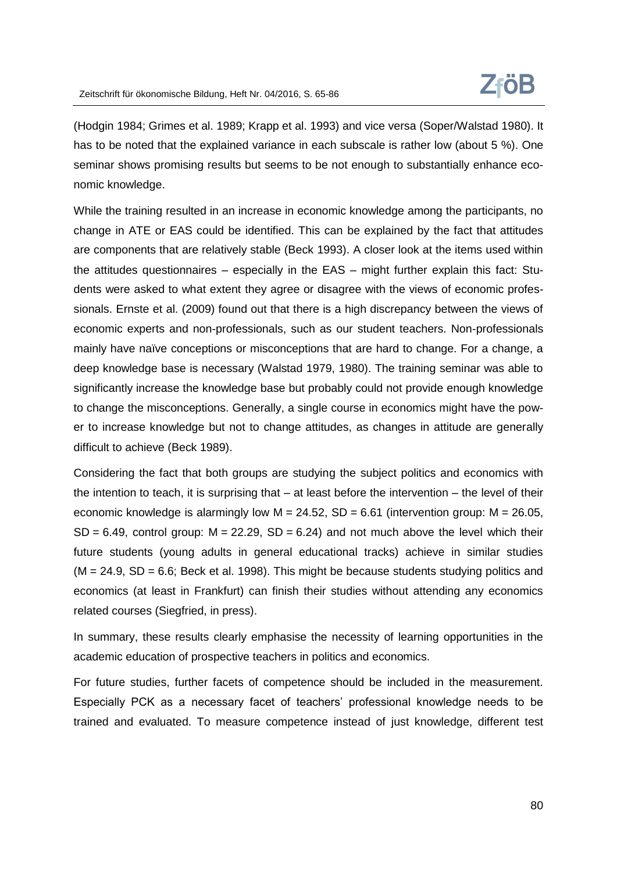(Hodgin 1984; Grimes et al. 1989; Krapp et al. 1993) and vice versa (Soper/Walstad 1980). It has to be noted that the explained variance in each subscale is rather low (about 5 %). One seminar shows promising results but seems to be not enough to substantially enhance economic knowledge.

While the training resulted in an increase in economic knowledge among the participants, no change in ATE or EAS could be identified. This can be explained by the fact that attitudes are components that are relatively stable (Beck 1993). A closer look at the items used within the attitudes questionnaires – especially in the EAS – might further explain this fact: Students were asked to what extent they agree or disagree with the views of economic professionals. Ernste et al. (2009) found out that there is a high discrepancy between the views of economic experts and non-professionals, such as our student teachers. Non-professionals mainly have naïve conceptions or misconceptions that are hard to change. For a change, a deep knowledge base is necessary (Walstad 1979, 1980). The training seminar was able to significantly increase the knowledge base but probably could not provide enough knowledge to change the misconceptions. Generally, a single course in economics might have the power to increase knowledge but not to change attitudes, as changes in attitude are generally difficult to achieve (Beck 1989).

Considering the fact that both groups are studying the subject politics and economics with the intention to teach, it is surprising that – at least before the intervention – the level of their economic knowledge is alarmingly low  $M = 24.52$ , SD = 6.61 (intervention group:  $M = 26.05$ ,  $SD = 6.49$ , control group:  $M = 22.29$ ,  $SD = 6.24$ ) and not much above the level which their future students (young adults in general educational tracks) achieve in similar studies  $(M = 24.9, SD = 6.6; Beck et al. 1998)$ . This might be because students studying politics and economics (at least in Frankfurt) can finish their studies without attending any economics related courses (Siegfried, in press).

In summary, these results clearly emphasise the necessity of learning opportunities in the academic education of prospective teachers in politics and economics.

For future studies, further facets of competence should be included in the measurement. Especially PCK as a necessary facet of teachers' professional knowledge needs to be trained and evaluated. To measure competence instead of just knowledge, different test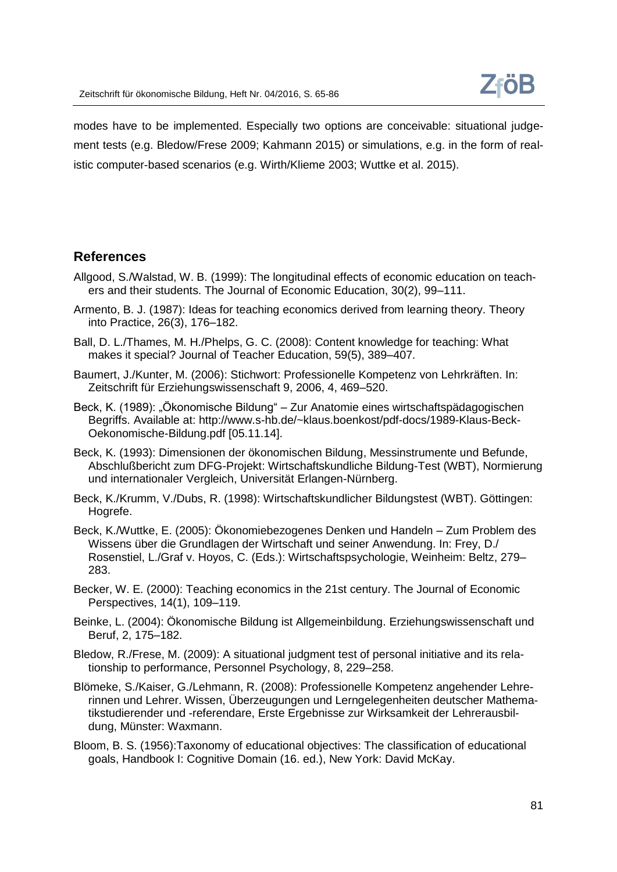modes have to be implemented. Especially two options are conceivable: situational judgement tests (e.g. Bledow/Frese 2009; Kahmann 2015) or simulations, e.g. in the form of realistic computer-based scenarios (e.g. Wirth/Klieme 2003; Wuttke et al. 2015).

# **References**

- Allgood, S./Walstad, W. B. (1999): The longitudinal effects of economic education on teachers and their students. The Journal of Economic Education, 30(2), 99–111.
- Armento, B. J. (1987): Ideas for teaching economics derived from learning theory. Theory into Practice, 26(3), 176–182.
- Ball, D. L./Thames, M. H./Phelps, G. C. (2008): Content knowledge for teaching: What makes it special? Journal of Teacher Education, 59(5), 389–407.
- Baumert, J./Kunter, M. (2006): Stichwort: Professionelle Kompetenz von Lehrkräften. In: Zeitschrift für Erziehungswissenschaft 9, 2006, 4, 469–520.
- Beck, K. (1989): "Ökonomische Bildung" Zur Anatomie eines wirtschaftspädagogischen Begriffs. Available at: http://www.s-hb.de/~klaus.boenkost/pdf-docs/1989-Klaus-Beck-Oekonomische-Bildung.pdf [05.11.14].
- Beck, K. (1993): Dimensionen der ökonomischen Bildung, Messinstrumente und Befunde, Abschlußbericht zum DFG-Projekt: Wirtschaftskundliche Bildung-Test (WBT), Normierung und internationaler Vergleich, Universität Erlangen-Nürnberg.
- Beck, K./Krumm, V./Dubs, R. (1998): Wirtschaftskundlicher Bildungstest (WBT). Göttingen: Hogrefe.
- Beck, K./Wuttke, E. (2005): Ökonomiebezogenes Denken und Handeln Zum Problem des Wissens über die Grundlagen der Wirtschaft und seiner Anwendung. In: Frey, D./ Rosenstiel, L./Graf v. Hoyos, C. (Eds.): Wirtschaftspsychologie, Weinheim: Beltz, 279– 283.
- Becker, W. E. (2000): Teaching economics in the 21st century. The Journal of Economic Perspectives, 14(1), 109–119.
- Beinke, L. (2004): Ökonomische Bildung ist Allgemeinbildung. Erziehungswissenschaft und Beruf, 2, 175–182.
- Bledow, R./Frese, M. (2009): A situational judgment test of personal initiative and its relationship to performance, Personnel Psychology, 8, 229–258.
- Blömeke, S./Kaiser, G./Lehmann, R. (2008): Professionelle Kompetenz angehender Lehrerinnen und Lehrer. Wissen, Überzeugungen und Lerngelegenheiten deutscher Mathematikstudierender und -referendare, Erste Ergebnisse zur Wirksamkeit der Lehrerausbildung, Münster: Waxmann.
- Bloom, B. S. (1956):Taxonomy of educational objectives: The classification of educational goals, Handbook I: Cognitive Domain (16. ed.), New York: David McKay.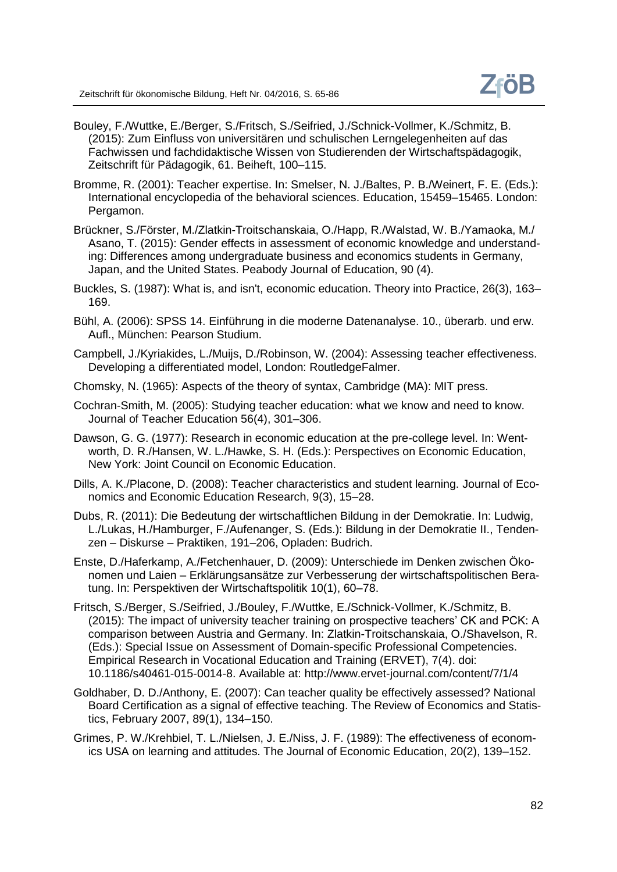- Bouley, F./Wuttke, E./Berger, S./Fritsch, S./Seifried, J./Schnick-Vollmer, K./Schmitz, B. (2015): Zum Einfluss von universitären und schulischen Lerngelegenheiten auf das Fachwissen und fachdidaktische Wissen von Studierenden der Wirtschaftspädagogik, Zeitschrift für Pädagogik, 61. Beiheft, 100–115.
- Bromme, R. (2001): Teacher expertise. In: Smelser, N. J./Baltes, P. B./Weinert, F. E. (Eds.): International encyclopedia of the behavioral sciences. Education, 15459–15465. London: Pergamon.
- Brückner, S./Förster, M./Zlatkin-Troitschanskaia, O./Happ, R./Walstad, W. B./Yamaoka, M./ Asano, T. (2015): Gender effects in assessment of economic knowledge and understanding: Differences among undergraduate business and economics students in Germany, Japan, and the United States. Peabody Journal of Education, 90 (4).
- Buckles, S. (1987): What is, and isn't, economic education. Theory into Practice, 26(3), 163– 169.
- Bühl, A. (2006): SPSS 14. Einführung in die moderne Datenanalyse. 10., überarb. und erw. Aufl., München: Pearson Studium.
- Campbell, J./Kyriakides, L./Muijs, D./Robinson, W. (2004): Assessing teacher effectiveness. Developing a differentiated model, London: RoutledgeFalmer.
- Chomsky, N. (1965): Aspects of the theory of syntax, Cambridge (MA): MIT press.
- Cochran-Smith, M. (2005): Studying teacher education: what we know and need to know. Journal of Teacher Education 56(4), 301–306.
- Dawson, G. G. (1977): Research in economic education at the pre-college level. In: Wentworth, D. R./Hansen, W. L./Hawke, S. H. (Eds.): Perspectives on Economic Education, New York: Joint Council on Economic Education.
- Dills, A. K./Placone, D. (2008): Teacher characteristics and student learning. Journal of Economics and Economic Education Research, 9(3), 15–28.
- Dubs, R. (2011): Die Bedeutung der wirtschaftlichen Bildung in der Demokratie. In: Ludwig, L./Lukas, H./Hamburger, F./Aufenanger, S. (Eds.): Bildung in der Demokratie II., Tendenzen – Diskurse – Praktiken, 191–206, Opladen: Budrich.
- Enste, D./Haferkamp, A./Fetchenhauer, D. (2009): Unterschiede im Denken zwischen Ökonomen und Laien – Erklärungsansätze zur Verbesserung der wirtschaftspolitischen Beratung. In: Perspektiven der Wirtschaftspolitik 10(1), 60–78.
- Fritsch, S./Berger, S./Seifried, J./Bouley, F./Wuttke, E./Schnick-Vollmer, K./Schmitz, B. (2015): The impact of university teacher training on prospective teachers' CK and PCK: A comparison between Austria and Germany. In: Zlatkin-Troitschanskaia, O./Shavelson, R. (Eds.): Special Issue on Assessment of Domain-specific Professional Competencies. Empirical Research in Vocational Education and Training (ERVET), 7(4). doi: 10.1186/s40461-015-0014-8. Available at: http://www.ervet-journal.com/content/7/1/4
- Goldhaber, D. D./Anthony, E. (2007): Can teacher quality be effectively assessed? National Board Certification as a signal of effective teaching. The Review of Economics and Statistics, February 2007, 89(1), 134–150.
- Grimes, P. W./Krehbiel, T. L./Nielsen, J. E./Niss, J. F. (1989): The effectiveness of economics USA on learning and attitudes. The Journal of Economic Education, 20(2), 139–152.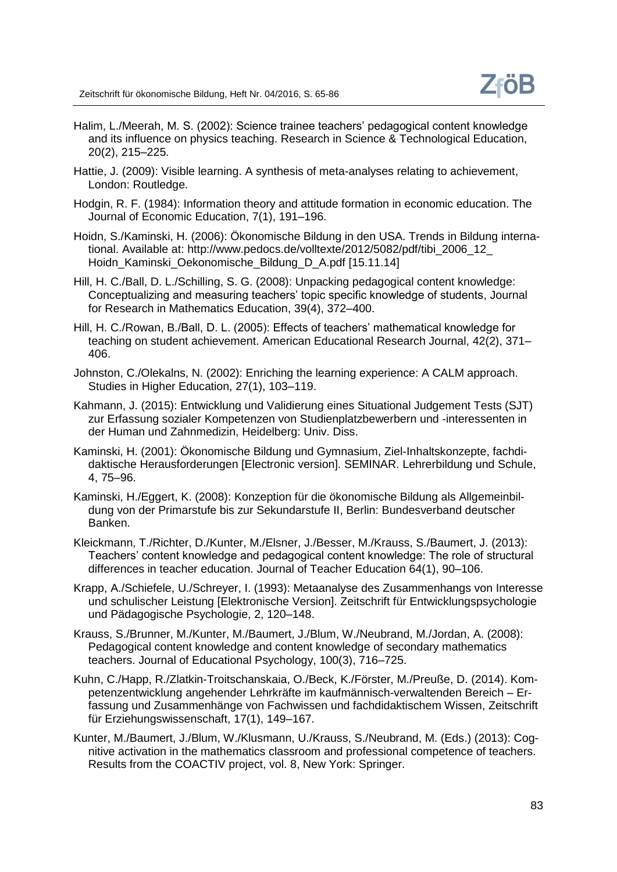- Halim, L./Meerah, M. S. (2002): Science trainee teachers' pedagogical content knowledge and its influence on physics teaching. Research in Science & Technological Education, 20(2), 215–225.
- Hattie, J. (2009): Visible learning. A synthesis of meta-analyses relating to achievement, London: Routledge.
- Hodgin, R. F. (1984): Information theory and attitude formation in economic education. The Journal of Economic Education, 7(1), 191–196.
- Hoidn, S./Kaminski, H. (2006): Ökonomische Bildung in den USA. Trends in Bildung international. Available at: http://www.pedocs.de/volltexte/2012/5082/pdf/tibi\_2006\_12\_ Hoidn\_Kaminski\_Oekonomische\_Bildung\_D\_A.pdf [15.11.14]
- Hill, H. C./Ball, D. L./Schilling, S. G. (2008): Unpacking pedagogical content knowledge: Conceptualizing and measuring teachers' topic specific knowledge of students, Journal for Research in Mathematics Education, 39(4), 372–400.
- Hill, H. C./Rowan, B./Ball, D. L. (2005): Effects of teachers' mathematical knowledge for teaching on student achievement. American Educational Research Journal, 42(2), 371– 406.
- Johnston, C./Olekalns, N. (2002): Enriching the learning experience: A CALM approach. Studies in Higher Education, 27(1), 103–119.
- Kahmann, J. (2015): Entwicklung und Validierung eines Situational Judgement Tests (SJT) zur Erfassung sozialer Kompetenzen von Studienplatzbewerbern und -interessenten in der Human und Zahnmedizin, Heidelberg: Univ. Diss.
- Kaminski, H. (2001): Ökonomische Bildung und Gymnasium, Ziel-Inhaltskonzepte, fachdidaktische Herausforderungen [Electronic version]. SEMINAR. Lehrerbildung und Schule, 4, 75–96.
- Kaminski, H./Eggert, K. (2008): Konzeption für die ökonomische Bildung als Allgemeinbildung von der Primarstufe bis zur Sekundarstufe II, Berlin: Bundesverband deutscher Banken.
- Kleickmann, T./Richter, D./Kunter, M./Elsner, J./Besser, M./Krauss, S./Baumert, J. (2013): Teachers' content knowledge and pedagogical content knowledge: The role of structural differences in teacher education. Journal of Teacher Education 64(1), 90–106.
- Krapp, A./Schiefele, U./Schreyer, I. (1993): Metaanalyse des Zusammenhangs von Interesse und schulischer Leistung [Elektronische Version]. Zeitschrift für Entwicklungspsychologie und Pädagogische Psychologie, 2, 120–148.
- Krauss, S./Brunner, M./Kunter, M./Baumert, J./Blum, W./Neubrand, M./Jordan, A. (2008): Pedagogical content knowledge and content knowledge of secondary mathematics teachers. Journal of Educational Psychology, 100(3), 716–725.
- Kuhn, C./Happ, R./Zlatkin-Troitschanskaia, O./Beck, K./Förster, M./Preuße, D. (2014). Kompetenzentwicklung angehender Lehrkräfte im kaufmännisch-verwaltenden Bereich – Erfassung und Zusammenhänge von Fachwissen und fachdidaktischem Wissen, Zeitschrift für Erziehungswissenschaft, 17(1), 149–167.
- Kunter, M./Baumert, J./Blum, W./Klusmann, U./Krauss, S./Neubrand, M. (Eds.) (2013): Cognitive activation in the mathematics classroom and professional competence of teachers. Results from the COACTIV project, vol. 8, New York: Springer.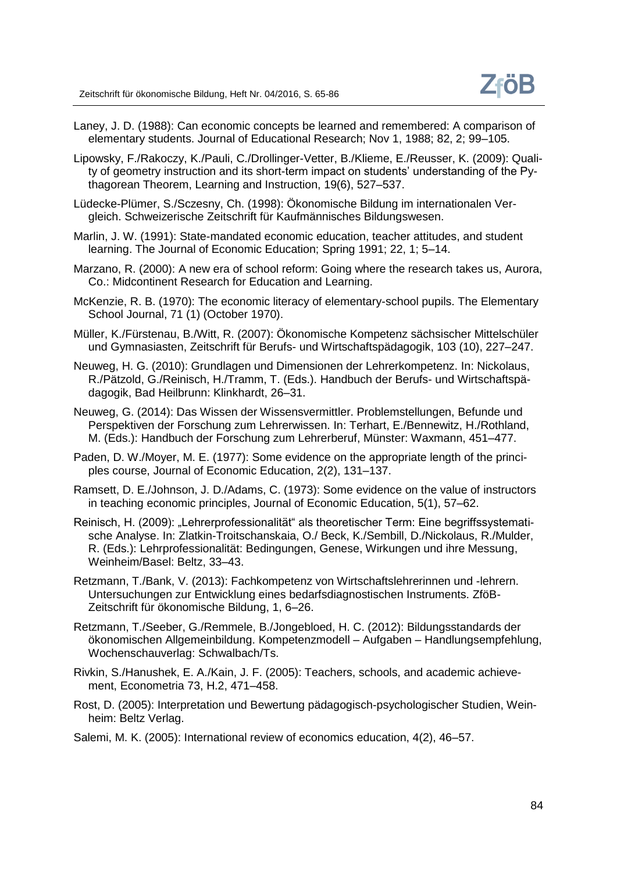- Laney, J. D. (1988): Can economic concepts be learned and remembered: A comparison of elementary students. Journal of Educational Research; Nov 1, 1988; 82, 2; 99–105.
- Lipowsky, F./Rakoczy, K./Pauli, C./Drollinger-Vetter, B./Klieme, E./Reusser, K. (2009): Quality of geometry instruction and its short-term impact on students' understanding of the Pythagorean Theorem, Learning and Instruction, 19(6), 527–537.
- Lüdecke-Plümer, S./Sczesny, Ch. (1998): Ökonomische Bildung im internationalen Vergleich. Schweizerische Zeitschrift für Kaufmännisches Bildungswesen.
- Marlin, J. W. (1991): State-mandated economic education, teacher attitudes, and student learning. The Journal of Economic Education; Spring 1991; 22, 1; 5–14.
- Marzano, R. (2000): A new era of school reform: Going where the research takes us, Aurora, Co.: Midcontinent Research for Education and Learning.
- McKenzie, R. B. (1970): The economic literacy of elementary-school pupils. The Elementary School Journal, 71 (1) (October 1970).
- Müller, K./Fürstenau, B./Witt, R. (2007): Ökonomische Kompetenz sächsischer Mittelschüler und Gymnasiasten, Zeitschrift für Berufs- und Wirtschaftspädagogik, 103 (10), 227–247.
- Neuweg, H. G. (2010): Grundlagen und Dimensionen der Lehrerkompetenz. In: Nickolaus, R./Pätzold, G./Reinisch, H./Tramm, T. (Eds.). Handbuch der Berufs- und Wirtschaftspädagogik, Bad Heilbrunn: Klinkhardt, 26–31.
- Neuweg, G. (2014): Das Wissen der Wissensvermittler. Problemstellungen, Befunde und Perspektiven der Forschung zum Lehrerwissen. In: Terhart, E./Bennewitz, H./Rothland, M. (Eds.): Handbuch der Forschung zum Lehrerberuf, Münster: Waxmann, 451–477.
- Paden, D. W./Moyer, M. E. (1977): Some evidence on the appropriate length of the principles course, Journal of Economic Education, 2(2), 131–137.
- Ramsett, D. E./Johnson, J. D./Adams, C. (1973): Some evidence on the value of instructors in teaching economic principles, Journal of Economic Education, 5(1), 57–62.
- Reinisch, H. (2009): "Lehrerprofessionalität" als theoretischer Term: Eine begriffssystematische Analyse. In: Zlatkin-Troitschanskaia, O./ Beck, K./Sembill, D./Nickolaus, R./Mulder, R. (Eds.): Lehrprofessionalität: Bedingungen, Genese, Wirkungen und ihre Messung, Weinheim/Basel: Beltz, 33–43.
- Retzmann, T./Bank, V. (2013): Fachkompetenz von Wirtschaftslehrerinnen und -lehrern. Untersuchungen zur Entwicklung eines bedarfsdiagnostischen Instruments. ZföB-Zeitschrift für ökonomische Bildung, 1, 6–26.
- Retzmann, T./Seeber, G./Remmele, B./Jongebloed, H. C. (2012): Bildungsstandards der ökonomischen Allgemeinbildung. Kompetenzmodell – Aufgaben – Handlungsempfehlung, Wochenschauverlag: Schwalbach/Ts.
- Rivkin, S./Hanushek, E. A./Kain, J. F. (2005): Teachers, schools, and academic achievement, Econometria 73, H.2, 471–458.
- Rost, D. (2005): Interpretation und Bewertung pädagogisch-psychologischer Studien, Weinheim: Beltz Verlag.
- Salemi, M. K. (2005): International review of economics education, 4(2), 46–57.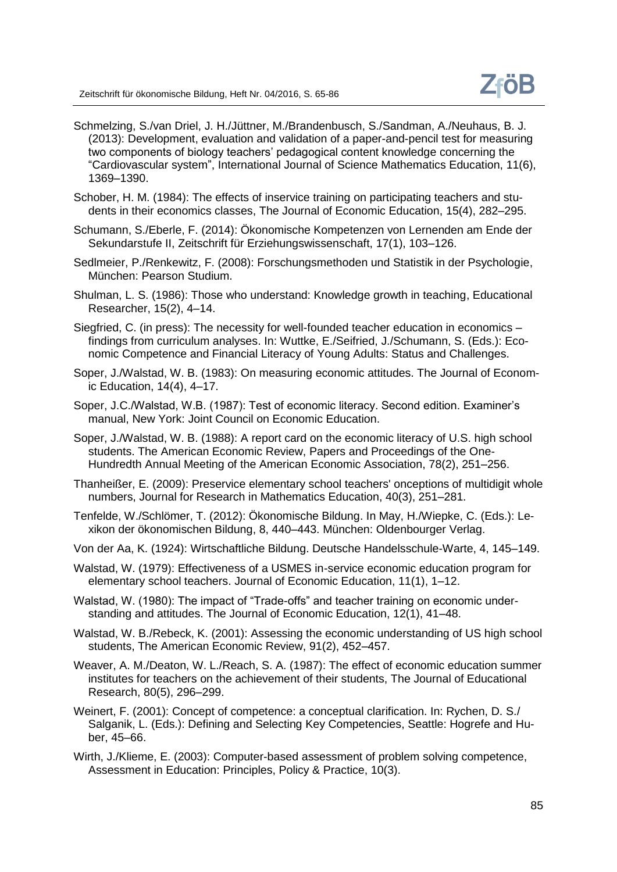- Schmelzing, S./van Driel, J. H./Jüttner, M./Brandenbusch, S./Sandman, A./Neuhaus, B. J. (2013): Development, evaluation and validation of a paper-and-pencil test for measuring two components of biology teachers' pedagogical content knowledge concerning the "Cardiovascular system", International Journal of Science Mathematics Education, 11(6), 1369–1390.
- Schober, H. M. (1984): The effects of inservice training on participating teachers and students in their economics classes, The Journal of Economic Education, 15(4), 282–295.
- Schumann, S./Eberle, F. (2014): Ökonomische Kompetenzen von Lernenden am Ende der Sekundarstufe II, Zeitschrift für Erziehungswissenschaft, 17(1), 103–126.
- Sedlmeier, P./Renkewitz, F. (2008): Forschungsmethoden und Statistik in der Psychologie, München: Pearson Studium.
- Shulman, L. S. (1986): Those who understand: Knowledge growth in teaching, Educational Researcher, 15(2), 4–14.
- Siegfried, C. (in press): The necessity for well-founded teacher education in economics findings from curriculum analyses. In: Wuttke, E./Seifried, J./Schumann, S. (Eds.): Economic Competence and Financial Literacy of Young Adults: Status and Challenges.
- Soper, J./Walstad, W. B. (1983): On measuring economic attitudes. The Journal of Economic Education, 14(4), 4–17.
- Soper, J.C./Walstad, W.B. (1987): Test of economic literacy. Second edition. Examiner's manual, New York: Joint Council on Economic Education.
- Soper, J./Walstad, W. B. (1988): A report card on the economic literacy of U.S. high school students. The American Economic Review, Papers and Proceedings of the One-Hundredth Annual Meeting of the American Economic Association, 78(2), 251–256.
- Thanheißer, E. (2009): Preservice elementary school teachers' onceptions of multidigit whole numbers, Journal for Research in Mathematics Education, 40(3), 251–281.
- Tenfelde, W./Schlömer, T. (2012): Ökonomische Bildung. In May, H./Wiepke, C. (Eds.): Lexikon der ökonomischen Bildung, 8, 440–443. München: Oldenbourger Verlag.
- Von der Aa, K. (1924): Wirtschaftliche Bildung. Deutsche Handelsschule-Warte, 4, 145–149.
- Walstad, W. (1979): Effectiveness of a USMES in-service economic education program for elementary school teachers. Journal of Economic Education, 11(1), 1–12.
- Walstad, W. (1980): The impact of "Trade-offs" and teacher training on economic understanding and attitudes. The Journal of Economic Education, 12(1), 41–48.
- Walstad, W. B./Rebeck, K. (2001): Assessing the economic understanding of US high school students, The American Economic Review, 91(2), 452–457.
- Weaver, A. M./Deaton, W. L./Reach, S. A. (1987): The effect of economic education summer institutes for teachers on the achievement of their students, The Journal of Educational Research, 80(5), 296–299.
- Weinert, F. (2001): Concept of competence: a conceptual clarification. In: Rychen, D. S./ Salganik, L. (Eds.): Defining and Selecting Key Competencies, Seattle: Hogrefe and Huber, 45–66.
- Wirth, J./Klieme, E. (2003): Computer-based assessment of problem solving competence, Assessment in Education: Principles, Policy & Practice, 10(3).